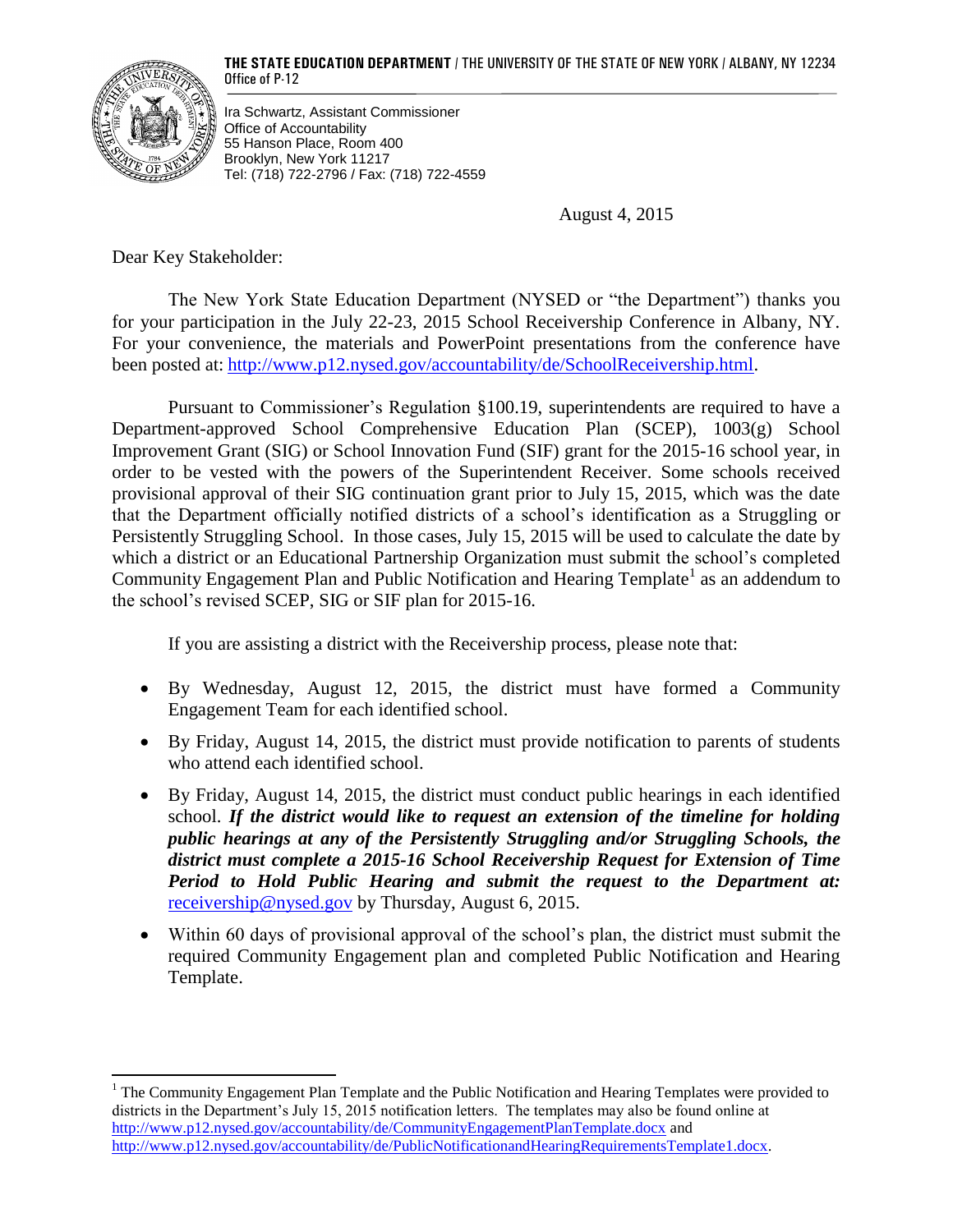**THE STATE EDUCATION DEPARTMENT** / THE UNIVERSITY OF THE STATE OF NEW YORK / ALBANY, NY 12234 Office of P-12



 $\overline{\phantom{a}}$ 

Ira Schwartz, Assistant Commissioner Office of Accountability 55 Hanson Place, Room 400 Brooklyn, New York 11217 Tel: (718) 722-2796 / Fax: (718) 722-4559

August 4, 2015

Dear Key Stakeholder:

The New York State Education Department (NYSED or "the Department") thanks you for your participation in the July 22-23, 2015 School Receivership Conference in Albany, NY. For your convenience, the materials and PowerPoint presentations from the conference have been posted at: [http://www.p12.nysed.gov/accountability/de/SchoolReceivership.html.](http://www.p12.nysed.gov/accountability/de/SchoolReceivership.html)

Pursuant to Commissioner's Regulation §100.19, superintendents are required to have a Department-approved School Comprehensive Education Plan (SCEP), 1003(g) School Improvement Grant (SIG) or School Innovation Fund (SIF) grant for the 2015-16 school year, in order to be vested with the powers of the Superintendent Receiver. Some schools received provisional approval of their SIG continuation grant prior to July 15, 2015, which was the date that the Department officially notified districts of a school's identification as a Struggling or Persistently Struggling School. In those cases, July 15, 2015 will be used to calculate the date by which a district or an Educational Partnership Organization must submit the school's completed Community Engagement Plan and Public Notification and Hearing Template<sup>1</sup> as an addendum to the school's revised SCEP, SIG or SIF plan for 2015-16.

If you are assisting a district with the Receivership process, please note that:

- By Wednesday, August 12, 2015, the district must have formed a Community Engagement Team for each identified school.
- By Friday, August 14, 2015, the district must provide notification to parents of students who attend each identified school.
- By Friday, August 14, 2015, the district must conduct public hearings in each identified school. *If the district would like to request an extension of the timeline for holding public hearings at any of the Persistently Struggling and/or Struggling Schools, the district must complete a 2015-16 School Receivership Request for Extension of Time Period to Hold Public Hearing and submit the request to the Department at:* [receivership@nysed.gov](mailto:receivership@nysed.gov) by Thursday, August 6, 2015.
- Within 60 days of provisional approval of the school's plan, the district must submit the required Community Engagement plan and completed Public Notification and Hearing Template.

<sup>&</sup>lt;sup>1</sup> The Community Engagement Plan Template and the Public Notification and Hearing Templates were provided to districts in the Department's July 15, 2015 notification letters. The templates may also be found online at <http://www.p12.nysed.gov/accountability/de/CommunityEngagementPlanTemplate.docx> and [http://www.p12.nysed.gov/accountability/de/PublicNotificationandHearingRequirementsTemplate1.docx.](http://www.p12.nysed.gov/accountability/de/PublicNotificationandHearingRequirementsTemplate1.docx)